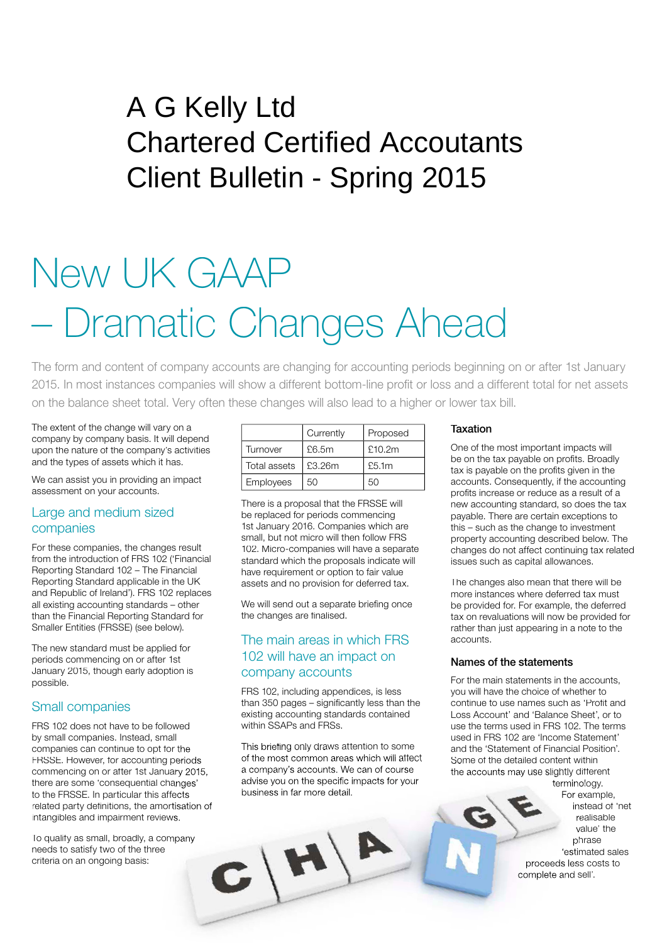# Peat House Newham Road Truro Cornwall TR1 2DP A G Kelly Ltd Chartered Certified Accoutants Client Bulletin - Spring 2015

# New UK GAAP – Dramatic Changes Ahead

The form and content of company accounts are changing for accounting periods beginning on or after 1st January 2015. In most instances companies will show a different bottom-line profit or loss and a different total for net assets on the balance sheet total. Very often these changes will also lead to a higher or lower tax bill.

The extent of the change will vary on a company by company basis. It will depend upon the nature of the company's activities and the types of assets which it has.

We can assist you in providing an impact assessment on your accounts.

#### Large and medium sized companies

For these companies, the changes result from the introduction of FRS 102 ('Financial Reporting Standard 102 – The Financial Reporting Standard applicable in the UK and Republic of Ireland'). FRS 102 replaces all existing accounting standards – other than the Financial Reporting Standard for Smaller Entities (FRSSE) (see below).

The new standard must be applied for periods commencing on or after 1st January 2015, though early adoption is possible.

#### Small companies

FRS 102 does not have to be followed by small companies. Instead, small companies can continue to opt for the FRSSE. However, for accounting periods commencing on or after 1st January 2015, there are some 'consequential changes' to the FRSSE. In particular this affects related party definitions, the amortisation of intangibles and impairment reviews.

To qualify as small, broadly, a company needs to satisfy two of the three criteria on an ongoing basis:

|              | Currently | Proposed |
|--------------|-----------|----------|
| Turnover     | £6.5m     | £10.2m   |
| Total assets | £3.26m    | £5.1m    |
| Employees    | 50        | 50       |

There is a proposal that the FRSSE will be replaced for periods commencing 1st January 2016. Companies which are small, but not micro will then follow FRS 102. Micro-companies will have a separate standard which the proposals indicate will have requirement or option to fair value assets and no provision for deferred tax.

We will send out a separate briefing once the changes are finalised.

### The main areas in which FRS 102 will have an impact on company accounts

FRS 102, including appendices, is less than  $350$  pages  $-$  significantly less than the existing accounting standards contained within SSAPs and FRSs.

This briefing only draws attention to some of the most common areas which will affect a company's accounts. We can of course advise you on the specific impacts for your business in far more detail.

 $C(H)$ 

#### Taxation

One of the most important impacts will be on the tax payable on profits. Broadly tax is payable on the profits given in the accounts. Consequently, if the accounting profits increase or reduce as a result of a new accounting standard, so does the tax payable. There are certain exceptions to this – such as the change to investment property accounting described below. The changes do not affect continuing tax related issues such as capital allowances.

The changes also mean that there will be more instances where deferred tax must be provided for. For example, the deferred tax on revaluations will now be provided for rather than just appearing in a note to the accounts.

#### Names of the statements

For the main statements in the accounts, you will have the choice of whether to continue to use names such as 'Profit and Loss Account' and 'Balance Sheet', or to use the terms used in FRS 102. The terms used in FRS 102 are 'Income Statement' and the 'Statement of Financial Position'. Some of the detailed content within the accounts may use slightly different terminology.

For example, instead of 'net realisable value' the phrase 'estimated sales proceeds less costs to complete and sell'.